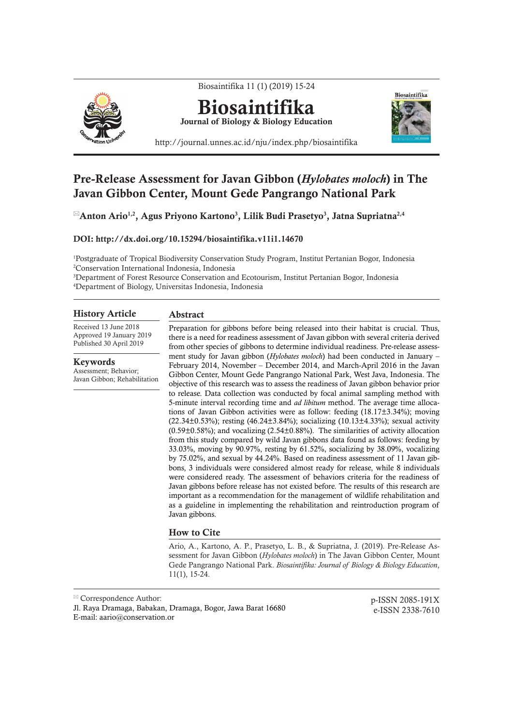

# Pre-Release Assessment for Javan Gibbon (*Hylobates moloch*) in The Javan Gibbon Center, Mount Gede Pangrango National Park

 ${}^{\boxtimes}$ Anton Ario ${}^{1,2},$  Agus Priyono Kartono ${}^{3},$  Lilik Budi Prasetyo ${}^{3},$  Jatna Supriatna ${}^{2,4}$ 

# DOI: http://dx.doi.org/10.15294/biosaintifika.v11i1.14670

1 Postgraduate of Tropical Biodiversity Conservation Study Program, Institut Pertanian Bogor, Indonesia 2 Conservation International Indonesia, Indonesia

3 Department of Forest Resource Conservation and Ecotourism, Institut Pertanian Bogor, Indonesia 4 Department of Biology, Universitas Indonesia, Indonesia

## History Article

Received 13 June 2018 Approved 19 January 2019 Published 30 April 2019

Keywords

Assessment; Behavior; Javan Gibbon; Rehabilitation

# Abstract

Preparation for gibbons before being released into their habitat is crucial. Thus, there is a need for readiness assessment of Javan gibbon with several criteria derived from other species of gibbons to determine individual readiness. Pre-release assessment study for Javan gibbon (*Hylobates moloch*) had been conducted in January – February 2014, November – December 2014, and March-April 2016 in the Javan Gibbon Center, Mount Gede Pangrango National Park, West Java, Indonesia. The objective of this research was to assess the readiness of Javan gibbon behavior prior to release. Data collection was conducted by focal animal sampling method with 5-minute interval recording time and *ad libitum* method. The average time allocations of Javan Gibbon activities were as follow: feeding (18.17±3.34%); moving (22.34 $\pm$ 0.53%); resting (46.24 $\pm$ 3.84%); socializing (10.13 $\pm$ 4.33%); sexual activity  $(0.59\pm0.58\%)$ ; and vocalizing  $(2.54\pm0.88\%)$ . The similarities of activity allocation from this study compared by wild Javan gibbons data found as follows: feeding by 33.03%, moving by 90.97%, resting by 61.52%, socializing by 38.09%, vocalizing by 75.02%, and sexual by 44.24%. Based on readiness assessment of 11 Javan gibbons, 3 individuals were considered almost ready for release, while 8 individuals were considered ready. The assessment of behaviors criteria for the readiness of Javan gibbons before release has not existed before. The results of this research are important as a recommendation for the management of wildlife rehabilitation and as a guideline in implementing the rehabilitation and reintroduction program of Javan gibbons.

### How to Cite

Ario, A., Kartono, A. P., Prasetyo, L. B., & Supriatna, J. (2019). Pre-Release Assessment for Javan Gibbon (*Hylobates moloch*) in The Javan Gibbon Center, Mount Gede Pangrango National Park. *Biosaintifika: Journal of Biology & Biology Education*, 11(1), 15-24.

p-ISSN 2085-191X e-ISSN 2338-7610

Correspondence Author:

Jl. Raya Dramaga, Babakan, Dramaga, Bogor, Jawa Barat 16680 E-mail: aario@conservation.or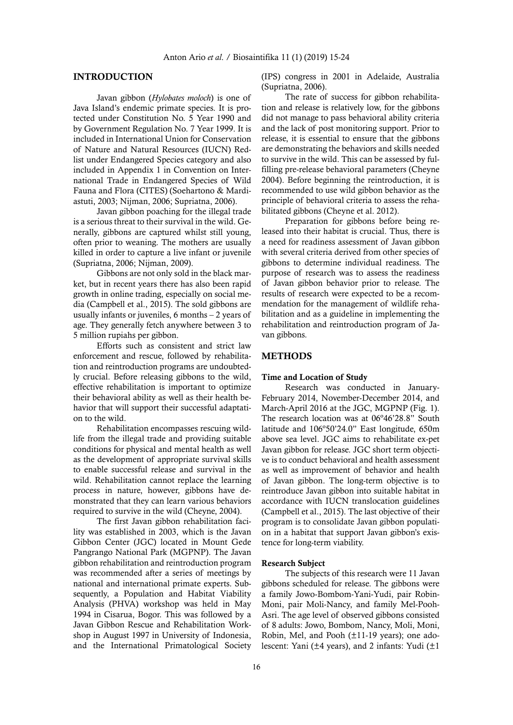#### INTRODUCTION

Javan gibbon (*Hylobates moloch*) is one of Java Island's endemic primate species. It is protected under Constitution No. 5 Year 1990 and by Government Regulation No. 7 Year 1999. It is included in International Union for Conservation of Nature and Natural Resources (IUCN) Redlist under Endangered Species category and also included in Appendix 1 in Convention on International Trade in Endangered Species of Wild Fauna and Flora (CITES) (Soehartono & Mardiastuti, 2003; Nijman, 2006; Supriatna, 2006).

Javan gibbon poaching for the illegal trade is a serious threat to their survival in the wild. Generally, gibbons are captured whilst still young, often prior to weaning. The mothers are usually killed in order to capture a live infant or juvenile (Supriatna, 2006; Nijman, 2009).

Gibbons are not only sold in the black market, but in recent years there has also been rapid growth in online trading, especially on social media (Campbell et al., 2015). The sold gibbons are usually infants or juveniles, 6 months – 2 years of age. They generally fetch anywhere between 3 to 5 million rupiahs per gibbon.

Efforts such as consistent and strict law enforcement and rescue, followed by rehabilitation and reintroduction programs are undoubtedly crucial. Before releasing gibbons to the wild, effective rehabilitation is important to optimize their behavioral ability as well as their health behavior that will support their successful adaptation to the wild.

Rehabilitation encompasses rescuing wildlife from the illegal trade and providing suitable conditions for physical and mental health as well as the development of appropriate survival skills to enable successful release and survival in the wild. Rehabilitation cannot replace the learning process in nature, however, gibbons have demonstrated that they can learn various behaviors required to survive in the wild (Cheyne, 2004).

The first Javan gibbon rehabilitation facility was established in 2003, which is the Javan Gibbon Center (JGC) located in Mount Gede Pangrango National Park (MGPNP). The Javan gibbon rehabilitation and reintroduction program was recommended after a series of meetings by national and international primate experts. Subsequently, a Population and Habitat Viability Analysis (PHVA) workshop was held in May 1994 in Cisarua, Bogor. This was followed by a Javan Gibbon Rescue and Rehabilitation Workshop in August 1997 in University of Indonesia, and the International Primatological Society

(IPS) congress in 2001 in Adelaide, Australia (Supriatna, 2006).

The rate of success for gibbon rehabilitation and release is relatively low, for the gibbons did not manage to pass behavioral ability criteria and the lack of post monitoring support. Prior to release, it is essential to ensure that the gibbons are demonstrating the behaviors and skills needed to survive in the wild. This can be assessed by fulfilling pre-release behavioral parameters (Cheyne 2004). Before beginning the reintroduction, it is recommended to use wild gibbon behavior as the principle of behavioral criteria to assess the rehabilitated gibbons (Cheyne et al. 2012).

Preparation for gibbons before being released into their habitat is crucial. Thus, there is a need for readiness assessment of Javan gibbon with several criteria derived from other species of gibbons to determine individual readiness. The purpose of research was to assess the readiness of Javan gibbon behavior prior to release. The results of research were expected to be a recommendation for the management of wildlife rehabilitation and as a guideline in implementing the rehabilitation and reintroduction program of Javan gibbons.

# METHODS

## Time and Location of Study

Research was conducted in January-February 2014, November-December 2014, and March-April 2016 at the JGC, MGPNP (Fig. 1). The research location was at 06º46'28.8" South latitude and 106º50'24.0" East longitude, 650m above sea level. JGC aims to rehabilitate ex-pet Javan gibbon for release. JGC short term objective is to conduct behavioral and health assessment as well as improvement of behavior and health of Javan gibbon. The long-term objective is to reintroduce Javan gibbon into suitable habitat in accordance with IUCN translocation guidelines (Campbell et al., 2015). The last objective of their program is to consolidate Javan gibbon population in a habitat that support Javan gibbon's existence for long-term viability.

## Research Subject

The subjects of this research were 11 Javan gibbons scheduled for release. The gibbons were a family Jowo-Bombom-Yani-Yudi, pair Robin-Moni, pair Moli-Nancy, and family Mel-Pooh-Asri. The age level of observed gibbons consisted of 8 adults: Jowo, Bombom, Nancy, Moli, Moni, Robin, Mel, and Pooh (±11-19 years); one adolescent: Yani ( $\pm 4$  years), and 2 infants: Yudi ( $\pm 1$ )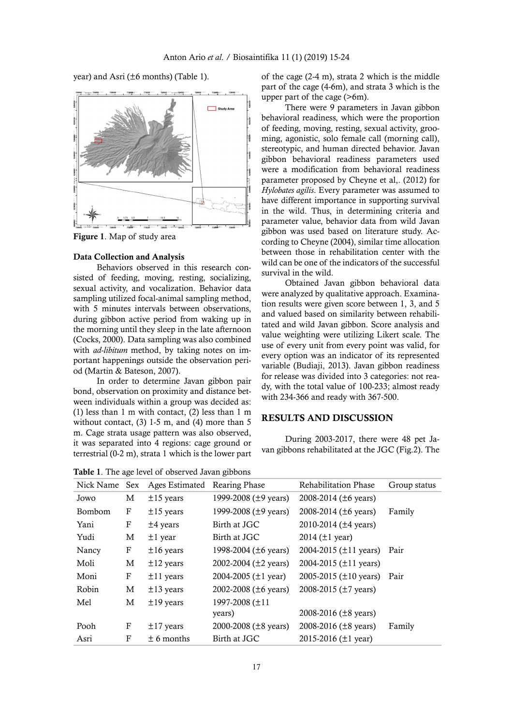



Figure 1. Map of study area

#### Data Collection and Analysis

Behaviors observed in this research consisted of feeding, moving, resting, socializing, sexual activity, and vocalization. Behavior data sampling utilized focal-animal sampling method, with 5 minutes intervals between observations, during gibbon active period from waking up in the morning until they sleep in the late afternoon (Cocks, 2000). Data sampling was also combined with *ad-libitum* method, by taking notes on important happenings outside the observation period (Martin & Bateson, 2007).

In order to determine Javan gibbon pair bond, observation on proximity and distance between individuals within a group was decided as: (1) less than 1 m with contact, (2) less than 1 m without contact,  $(3)$  1-5 m, and  $(4)$  more than 5 m. Cage strata usage pattern was also observed, it was separated into 4 regions: cage ground or terrestrial (0-2 m), strata 1 which is the lower part

Table 1. The age level of observed Javan gibbons

of the cage (2-4 m), strata 2 which is the middle part of the cage (4-6m), and strata 3 which is the upper part of the cage (>6m).

There were 9 parameters in Javan gibbon behavioral readiness, which were the proportion of feeding, moving, resting, sexual activity, grooming, agonistic, solo female call (morning call), stereotypic, and human directed behavior. Javan gibbon behavioral readiness parameters used were a modification from behavioral readiness parameter proposed by Cheyne et al,. (2012) for *Hylobates agilis*. Every parameter was assumed to have different importance in supporting survival in the wild. Thus, in determining criteria and parameter value, behavior data from wild Javan gibbon was used based on literature study. According to Cheyne (2004), similar time allocation between those in rehabilitation center with the wild can be one of the indicators of the successful survival in the wild.

Obtained Javan gibbon behavioral data were analyzed by qualitative approach. Examination results were given score between 1, 3, and 5 and valued based on similarity between rehabilitated and wild Javan gibbon. Score analysis and value weighting were utilizing Likert scale. The use of every unit from every point was valid, for every option was an indicator of its represented variable (Budiaji, 2013). Javan gibbon readiness for release was divided into 3 categories: not ready, with the total value of 100-233; almost ready with 234-366 and ready with 367-500.

# RESULTS AND DISCUSSION

During 2003-2017, there were 48 pet Javan gibbons rehabilitated at the JGC (Fig.2). The

|               |   | <b>Tuble</b> 1. The age fever of observed savan grobolis |                            |                             |              |
|---------------|---|----------------------------------------------------------|----------------------------|-----------------------------|--------------|
| Nick Name Sex |   | Ages Estimated                                           | Rearing Phase              | <b>Rehabilitation Phase</b> | Group status |
| Jowo          | M | $±15$ years                                              | 1999-2008 ( $\pm$ 9 years) | 2008-2014 (±6 years)        |              |
| <b>Bombom</b> | F | $±15$ years                                              | 1999-2008 ( $\pm$ 9 years) | 2008-2014 ( $\pm 6$ years)  | Family       |
| Yani          | F | $±4$ years                                               | Birth at JGC               | 2010-2014 ( $\pm$ 4 years)  |              |
| Yudi          | M | $±1$ year                                                | Birth at JGC               | 2014 $(\pm 1 \text{ year})$ |              |
| Nancy         | F | $±16$ years                                              | 1998-2004 ( $\pm$ 6 years) | 2004-2015 ( $\pm$ 11 years) | Pair         |
| Moli          | M | $±12$ years                                              | 2002-2004 ( $\pm$ 2 years) | 2004-2015 ( $\pm$ 11 years) |              |
| Moni          | F | $±11$ years                                              | 2004-2005 ( $\pm 1$ year)  | 2005-2015 ( $\pm$ 10 years) | Pair         |
| Robin         | M | $\pm 13$ years                                           | 2002-2008 ( $\pm 6$ years) | 2008-2015 (±7 years)        |              |
| Mel           | М | $±19$ years                                              | 1997-2008 (±11             |                             |              |
|               |   |                                                          | years)                     | 2008-2016 ( $\pm$ 8 years)  |              |
| Pooh          | F | $\pm$ 17 years                                           | 2000-2008 ( $\pm$ 8 years) | 2008-2016 ( $\pm$ 8 years)  | Family       |
| Asri          | F | $\pm$ 6 months                                           | Birth at JGC               | 2015-2016 ( $\pm$ 1 year)   |              |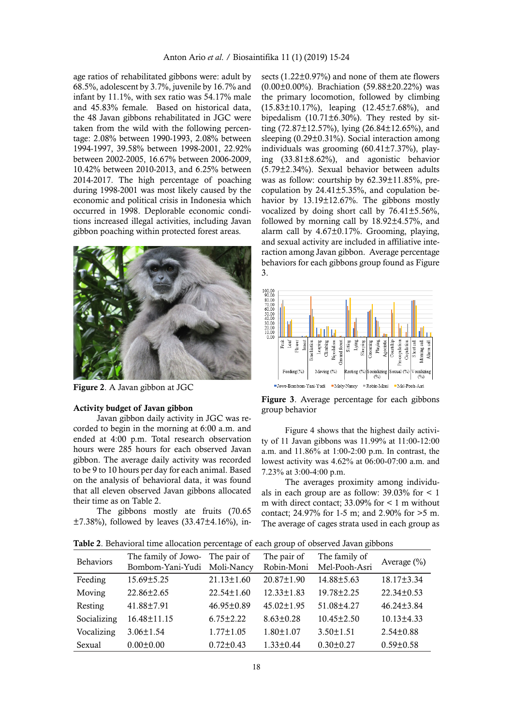age ratios of rehabilitated gibbons were: adult by 68.5%, adolescent by 3.7%, juvenile by 16.7% and infant by 11.1%, with sex ratio was 54.17% male and 45.83% female. Based on historical data, the 48 Javan gibbons rehabilitated in JGC were taken from the wild with the following percentage: 2.08% between 1990-1993, 2.08% between 1994-1997, 39.58% between 1998-2001, 22.92% between 2002-2005, 16.67% between 2006-2009, 10.42% between 2010-2013, and 6.25% between 2014-2017. The high percentage of poaching during 1998-2001 was most likely caused by the economic and political crisis in Indonesia which occurred in 1998. Deplorable economic conditions increased illegal activities, including Javan gibbon poaching within protected forest areas.



Figure 2. A Javan gibbon at JGC

#### Activity budget of Javan gibbon

Javan gibbon daily activity in JGC was recorded to begin in the morning at 6:00 a.m. and ended at 4:00 p.m. Total research observation hours were 285 hours for each observed Javan gibbon. The average daily activity was recorded to be 9 to 10 hours per day for each animal. Based on the analysis of behavioral data, it was found that all eleven observed Javan gibbons allocated their time as on Table 2.

The gibbons mostly ate fruits (70.65 ±7.38%), followed by leaves (33.47±4.16%), insects (1.22±0.97%) and none of them ate flowers (0.00±0.00%). Brachiation (59.88±20.22%) was the primary locomotion, followed by climbing (15.83±10.17%), leaping (12.45±7.68%), and bipedalism  $(10.71\pm6.30\%)$ . They rested by sitting  $(72.87 \pm 12.57\%)$ , lying  $(26.84 \pm 12.65\%)$ , and sleeping (0.29±0.31%). Social interaction among individuals was grooming  $(60.41 \pm 7.37\%)$ , playing (33.81±8.62%), and agonistic behavior (5.79±2.34%). Sexual behavior between adults was as follow: courtship by 62.39±11.85%, precopulation by 24.41±5.35%, and copulation behavior by 13.19±12.67%. The gibbons mostly vocalized by doing short call by 76.41±5.56%, followed by morning call by 18.92±4.57%, and alarm call by 4.67±0.17%. Grooming, playing, and sexual activity are included in affiliative interaction among Javan gibbon. Average percentage behaviors for each gibbons group found as Figure 3.



Figure 3. Average percentage for each gibbons group behavior

Figure 4 shows that the highest daily activity of 11 Javan gibbons was 11.99% at 11:00-12:00 a.m. and 11.86% at 1:00-2:00 p.m. In contrast, the lowest activity was 4.62% at 06:00-07:00 a.m. and 7.23% at 3:00-4:00 p.m.

The averages proximity among individuals in each group are as follow:  $39.03\%$  for  $\lt 1$ m with direct contact;  $33.09\%$  for  $\lt 1$  m without contact; 24.97% for 1-5 m; and 2.90% for >5 m. The average of cages strata used in each group as

Table 2. Behavioral time allocation percentage of each group of observed Javan gibbons

| <b>Twele</b> : Denational time anotation percentage of each group of observed sature group. |                                         |                           |                           |                                |                  |  |  |
|---------------------------------------------------------------------------------------------|-----------------------------------------|---------------------------|---------------------------|--------------------------------|------------------|--|--|
| <b>Behaviors</b>                                                                            | The family of Jowo-<br>Bombom-Yani-Yudi | The pair of<br>Moli-Nancy | The pair of<br>Robin-Moni | The family of<br>Mel-Pooh-Asri | Average $(\% )$  |  |  |
| Feeding                                                                                     | $15.69 \pm 5.25$                        | $21.13 \pm 1.60$          | $20.87 \pm 1.90$          | $14.88 \pm 5.63$               | $18.17 \pm 3.34$ |  |  |
| Moving                                                                                      | $22.86 \pm 2.65$                        | $22.54 \pm 1.60$          | $12.33 \pm 1.83$          | $19.78 \pm 2.25$               | $22.34 \pm 0.53$ |  |  |
| Resting                                                                                     | 41.88±7.91                              | $46.95 \pm 0.89$          | $45.02 \pm 1.95$          | $51.08 \pm 4.27$               | $46.24 \pm 3.84$ |  |  |
| Socializing                                                                                 | 16.48±11.15                             | $6.75 \pm 2.22$           | $8.63 \pm 0.28$           | $10.45 \pm 2.50$               | $10.13 \pm 4.33$ |  |  |
| Vocalizing                                                                                  | $3.06 \pm 1.54$                         | $1.77 \pm 1.05$           | $1.80 \pm 1.07$           | $3.50 \pm 1.51$                | $2.54 \pm 0.88$  |  |  |
| Sexual                                                                                      | $0.00 \pm 0.00$                         | $0.72 \pm 0.43$           | $1.33 \pm 0.44$           | $0.30 \pm 0.27$                | $0.59 \pm 0.58$  |  |  |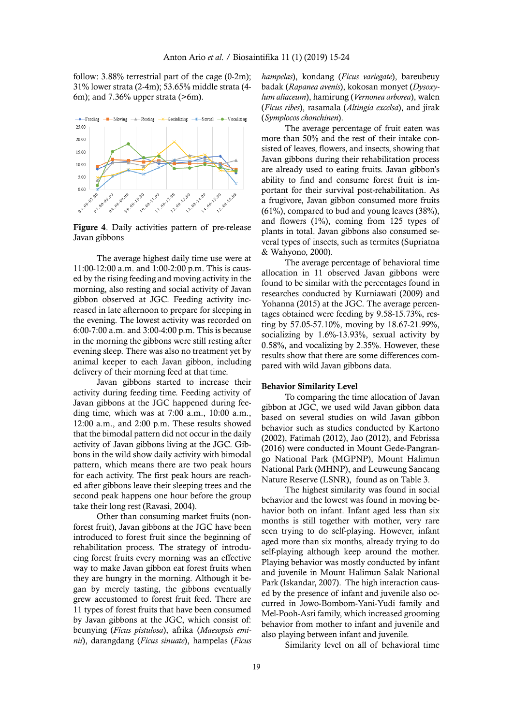follow: 3.88% terrestrial part of the cage (0-2m); 31% lower strata (2-4m); 53.65% middle strata (4- 6m); and 7.36% upper strata (>6m).



Figure 4. Daily activities pattern of pre-release Javan gibbons

The average highest daily time use were at 11:00-12:00 a.m. and 1:00-2:00 p.m. This is caused by the rising feeding and moving activity in the morning, also resting and social activity of Javan gibbon observed at JGC. Feeding activity increased in late afternoon to prepare for sleeping in the evening. The lowest activity was recorded on 6:00-7:00 a.m. and 3:00-4:00 p.m. This is because in the morning the gibbons were still resting after evening sleep. There was also no treatment yet by animal keeper to each Javan gibbon, including delivery of their morning feed at that time.

Javan gibbons started to increase their activity during feeding time. Feeding activity of Javan gibbons at the JGC happened during feeding time, which was at 7:00 a.m., 10:00 a.m., 12:00 a.m., and 2:00 p.m. These results showed that the bimodal pattern did not occur in the daily activity of Javan gibbons living at the JGC. Gibbons in the wild show daily activity with bimodal pattern, which means there are two peak hours for each activity. The first peak hours are reached after gibbons leave their sleeping trees and the second peak happens one hour before the group take their long rest (Ravasi, 2004).

Other than consuming market fruits (nonforest fruit), Javan gibbons at the JGC have been introduced to forest fruit since the beginning of rehabilitation process. The strategy of introducing forest fruits every morning was an effective way to make Javan gibbon eat forest fruits when they are hungry in the morning. Although it began by merely tasting, the gibbons eventually grew accustomed to forest fruit feed. There are 11 types of forest fruits that have been consumed by Javan gibbons at the JGC, which consist of: beunying (*Ficus pistulosa*), afrika (*Maesopsis eminii*), darangdang (*Ficus sinuate*), hampelas (*Ficus*  *hampelas*), kondang (*Ficus variegate*), bareubeuy badak (*Rapanea avenis*), kokosan monyet (*Dysoxylum aliaceum*), hamirung (*Vernonea arborea*), walen (*Ficus ribes*), rasamala (*Altingia excelsa*), and jirak (*Symplocos chonchinen*).

The average percentage of fruit eaten was more than 50% and the rest of their intake consisted of leaves, flowers, and insects, showing that Javan gibbons during their rehabilitation process are already used to eating fruits. Javan gibbon's ability to find and consume forest fruit is important for their survival post-rehabilitation. As a frugivore, Javan gibbon consumed more fruits (61%), compared to bud and young leaves (38%), and flowers (1%), coming from 125 types of plants in total. Javan gibbons also consumed several types of insects, such as termites (Supriatna & Wahyono, 2000).

The average percentage of behavioral time allocation in 11 observed Javan gibbons were found to be similar with the percentages found in researches conducted by Kurniawati (2009) and Yohanna (2015) at the JGC. The average percentages obtained were feeding by 9.58-15.73%, resting by 57.05-57.10%, moving by 18.67-21.99%, socializing by 1.6%-13.93%, sexual activity by 0.58%, and vocalizing by 2.35%. However, these results show that there are some differences compared with wild Javan gibbons data.

#### Behavior Similarity Level

To comparing the time allocation of Javan gibbon at JGC, we used wild Javan gibbon data based on several studies on wild Javan gibbon behavior such as studies conducted by Kartono (2002), Fatimah (2012), Jao (2012), and Febrissa (2016) were conducted in Mount Gede-Pangrango National Park (MGPNP), Mount Halimun National Park (MHNP), and Leuweung Sancang Nature Reserve (LSNR), found as on Table 3.

The highest similarity was found in social behavior and the lowest was found in moving behavior both on infant. Infant aged less than six months is still together with mother, very rare seen trying to do self-playing. However, infant aged more than six months, already trying to do self-playing although keep around the mother. Playing behavior was mostly conducted by infant and juvenile in Mount Halimun Salak National Park (Iskandar, 2007). The high interaction caused by the presence of infant and juvenile also occurred in Jowo-Bombom-Yani-Yudi family and Mel-Pooh-Asri family, which increased grooming behavior from mother to infant and juvenile and also playing between infant and juvenile.

Similarity level on all of behavioral time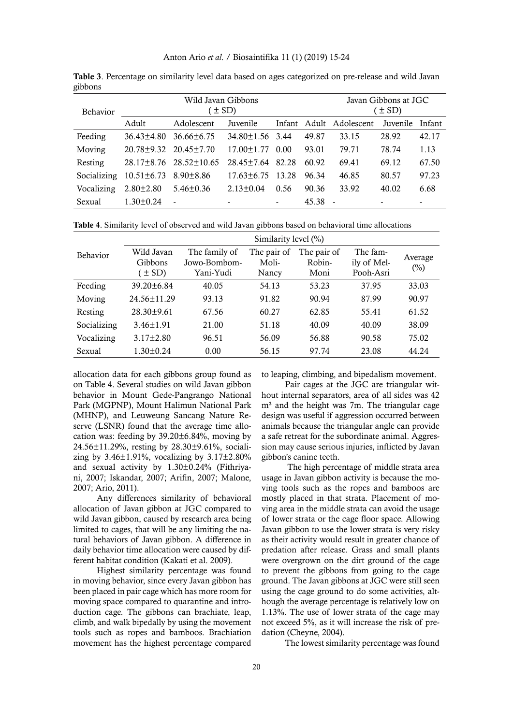Anton Ario *et al*. / Biosaintifika 11 (1) (2019) 15-24

| Behavior    |                  | Wild Javan Gibbons<br>(± SD) | Javan Gibbons at JGC<br>$(\pm SD)$ |      |       |                         |          |        |
|-------------|------------------|------------------------------|------------------------------------|------|-------|-------------------------|----------|--------|
|             | Adult            | Adolescent                   | Juvenile                           |      |       | Infant Adult Adolescent | Juvenile | Infant |
| Feeding     | $36.43 \pm 4.80$ | $36.66 \pm 6.75$             | 34.80±1.56 3.44                    |      | 49.87 | 33.15                   | 28.92    | 42.17  |
| Moving      |                  | 20.78±9.32 20.45±7.70        | $17.00 \pm 1.77$                   | 0.00 | 93.01 | 79.71                   | 78.74    | 1.13   |
| Resting     | 28.17±8.76       | 28.52±10.65                  | $28.45 \pm 7.64$ 82.28             |      | 60.92 | 69.41                   | 69.12    | 67.50  |
| Socializing | $10.51 \pm 6.73$ | $8.90 \pm 8.86$              | $17.63 \pm 6.75$ 13.28             |      | 96.34 | 46.85                   | 80.57    | 97.23  |
| Vocalizing  | $2.80 \pm 2.80$  | $5.46 \pm 0.36$              | $2.13 \pm 0.04$                    | 0.56 | 90.36 | 33.92                   | 40.02    | 6.68   |
| Sexual      | $1.30 \pm 0.24$  |                              | $\overline{\phantom{a}}$           |      | 45.38 |                         |          |        |

Table 3. Percentage on similarity level data based on ages categorized on pre-release and wild Javan gibbons

**Table 4**. Similarity level of observed and wild Javan gibbons based on behavioral time allocations

|               | Similarity level (%) |               |             |             |           |         |  |  |  |  |
|---------------|----------------------|---------------|-------------|-------------|-----------|---------|--|--|--|--|
| Behavior      | Wild Javan           | The family of | The pair of | The pair of | The fam-  | Average |  |  |  |  |
|               | Gibbons              | Jowo-Bombom-  | Moli-       | Robin-      |           | (%)     |  |  |  |  |
|               | $\pm$ SD)            | Yani-Yudi     | Nancy       | Moni        | Pooh-Asri |         |  |  |  |  |
| Feeding       | $39.20 \pm 6.84$     | 40.05         | 54.13       | 53.23       | 37.95     | 33.03   |  |  |  |  |
| Moving        | $24.56 \pm 11.29$    | 93.13         | 91.82       | 90.94       | 87.99     | 90.97   |  |  |  |  |
| Resting       | $28.30 \pm 9.61$     | 67.56         | 60.27       | 62.85       | 55.41     | 61.52   |  |  |  |  |
| Socializing   | $3.46 \pm 1.91$      | 21.00         | 51.18       | 40.09       | 40.09     | 38.09   |  |  |  |  |
| Vocalizing    | $3.17 \pm 2.80$      | 96.51         | 56.09       | 56.88       | 90.58     | 75.02   |  |  |  |  |
| <b>Sexual</b> | $1.30 \pm 0.24$      | 0.00          | 56.15       | 97.74       | 23.08     | 44.24   |  |  |  |  |

allocation data for each gibbons group found as on Table 4. Several studies on wild Javan gibbon behavior in Mount Gede-Pangrango National Park (MGPNP), Mount Halimun National Park (MHNP), and Leuweung Sancang Nature Reserve (LSNR) found that the average time allocation was: feeding by 39.20±6.84%, moving by 24.56±11.29%, resting by 28.30±9.61%, socializing by  $3.46 \pm 1.91\%$ , vocalizing by  $3.17 \pm 2.80\%$ and sexual activity by 1.30±0.24% (Fithriyani, 2007; Iskandar, 2007; Arifin, 2007; Malone, 2007; Ario, 2011).

Any differences similarity of behavioral allocation of Javan gibbon at JGC compared to wild Javan gibbon, caused by research area being limited to cages, that will be any limiting the natural behaviors of Javan gibbon. A difference in daily behavior time allocation were caused by different habitat condition (Kakati et al. 2009).

Highest similarity percentage was found in moving behavior, since every Javan gibbon has been placed in pair cage which has more room for moving space compared to quarantine and introduction cage. The gibbons can brachiate, leap, climb, and walk bipedally by using the movement tools such as ropes and bamboos. Brachiation movement has the highest percentage compared

to leaping, climbing, and bipedalism movement.

Pair cages at the JGC are triangular without internal separators, area of all sides was 42 m² and the height was 7m. The triangular cage design was useful if aggression occurred between animals because the triangular angle can provide a safe retreat for the subordinate animal. Aggression may cause serious injuries, inflicted by Javan gibbon's canine teeth.

 The high percentage of middle strata area usage in Javan gibbon activity is because the moving tools such as the ropes and bamboos are mostly placed in that strata. Placement of moving area in the middle strata can avoid the usage of lower strata or the cage floor space. Allowing Javan gibbon to use the lower strata is very risky as their activity would result in greater chance of predation after release. Grass and small plants were overgrown on the dirt ground of the cage to prevent the gibbons from going to the cage ground. The Javan gibbons at JGC were still seen using the cage ground to do some activities, although the average percentage is relatively low on 1.13%. The use of lower strata of the cage may not exceed 5%, as it will increase the risk of predation (Cheyne, 2004).

The lowest similarity percentage was found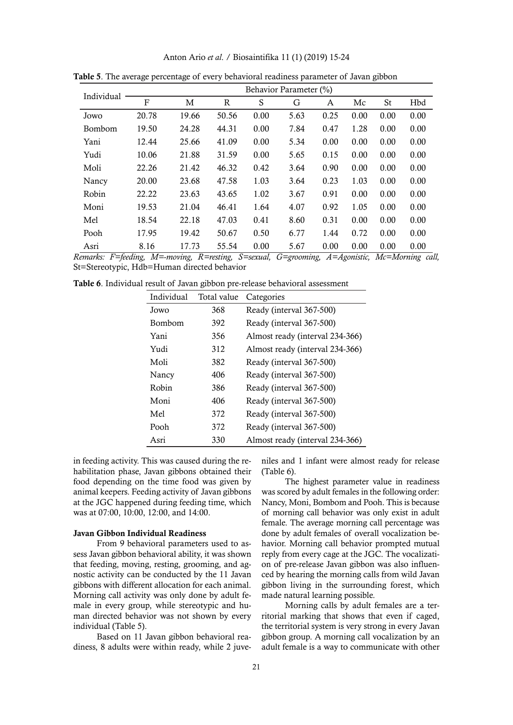| Anton Ario et al. / Biosaintifika 11 (1) (2019) 15-24 |  |  |  |  |  |  |  |  |
|-------------------------------------------------------|--|--|--|--|--|--|--|--|
|-------------------------------------------------------|--|--|--|--|--|--|--|--|

| Individual | Behavior Parameter (%) |       |       |      |      |      |      |      |      |  |
|------------|------------------------|-------|-------|------|------|------|------|------|------|--|
|            | $\overline{F}$         | M     | R     | S    | G    | A    | Mc   | St   | Hbd  |  |
| Jowo       | 20.78                  | 19.66 | 50.56 | 0.00 | 5.63 | 0.25 | 0.00 | 0.00 | 0.00 |  |
| Bombom     | 19.50                  | 24.28 | 44.31 | 0.00 | 7.84 | 0.47 | 1.28 | 0.00 | 0.00 |  |
| Yani       | 12.44                  | 25.66 | 41.09 | 0.00 | 5.34 | 0.00 | 0.00 | 0.00 | 0.00 |  |
| Yudi       | 10.06                  | 21.88 | 31.59 | 0.00 | 5.65 | 0.15 | 0.00 | 0.00 | 0.00 |  |
| Moli       | 22.26                  | 21.42 | 46.32 | 0.42 | 3.64 | 0.90 | 0.00 | 0.00 | 0.00 |  |
| Nancy      | 20.00                  | 23.68 | 47.58 | 1.03 | 3.64 | 0.23 | 1.03 | 0.00 | 0.00 |  |
| Robin      | 22.22                  | 23.63 | 43.65 | 1.02 | 3.67 | 0.91 | 0.00 | 0.00 | 0.00 |  |
| Moni       | 19.53                  | 21.04 | 46.41 | 1.64 | 4.07 | 0.92 | 1.05 | 0.00 | 0.00 |  |
| Mel        | 18.54                  | 22.18 | 47.03 | 0.41 | 8.60 | 0.31 | 0.00 | 0.00 | 0.00 |  |
| Pooh       | 17.95                  | 19.42 | 50.67 | 0.50 | 6.77 | 1.44 | 0.72 | 0.00 | 0.00 |  |
| Asri       | 8.16                   | 17.73 | 55.54 | 0.00 | 5.67 | 0.00 | 0.00 | 0.00 | 0.00 |  |

Table 5. The average percentage of every behavioral readiness parameter of Javan gibbon

*Remarks: F=feeding, M=-moving, R=resting, S=sexual, G=grooming, A=Agonistic, Mc=Morning call,*  St=Stereotypic, Hdb=Human directed behavior

Table 6. Individual result of Javan gibbon pre-release behavioral assessment

| Individual    | Total value | Categories                      |
|---------------|-------------|---------------------------------|
| Jowo          | 368         | Ready (interval 367-500)        |
| <b>Bombom</b> | 392         | Ready (interval 367-500)        |
| Yani          | 356         | Almost ready (interval 234-366) |
| Yudi          | 312         | Almost ready (interval 234-366) |
| Moli          | 382         | Ready (interval 367-500)        |
| Nancy         | 406         | Ready (interval 367-500)        |
| Robin         | 386         | Ready (interval 367-500)        |
| Moni          | 406         | Ready (interval 367-500)        |
| Mel           | 372         | Ready (interval 367-500)        |
| Pooh          | 372         | Ready (interval 367-500)        |
| Asri          | 330         | Almost ready (interval 234-366) |

in feeding activity. This was caused during the rehabilitation phase, Javan gibbons obtained their food depending on the time food was given by animal keepers. Feeding activity of Javan gibbons at the JGC happened during feeding time, which was at 07:00, 10:00, 12:00, and 14:00.

#### Javan Gibbon Individual Readiness

From 9 behavioral parameters used to assess Javan gibbon behavioral ability, it was shown that feeding, moving, resting, grooming, and agnostic activity can be conducted by the 11 Javan gibbons with different allocation for each animal. Morning call activity was only done by adult female in every group, while stereotypic and human directed behavior was not shown by every individual (Table 5).

Based on 11 Javan gibbon behavioral readiness, 8 adults were within ready, while 2 juveniles and 1 infant were almost ready for release (Table 6).

The highest parameter value in readiness was scored by adult females in the following order: Nancy, Moni, Bombom and Pooh. This is because of morning call behavior was only exist in adult female. The average morning call percentage was done by adult females of overall vocalization behavior. Morning call behavior prompted mutual reply from every cage at the JGC. The vocalization of pre-release Javan gibbon was also influenced by hearing the morning calls from wild Javan gibbon living in the surrounding forest, which made natural learning possible.

Morning calls by adult females are a territorial marking that shows that even if caged, the territorial system is very strong in every Javan gibbon group. A morning call vocalization by an adult female is a way to communicate with other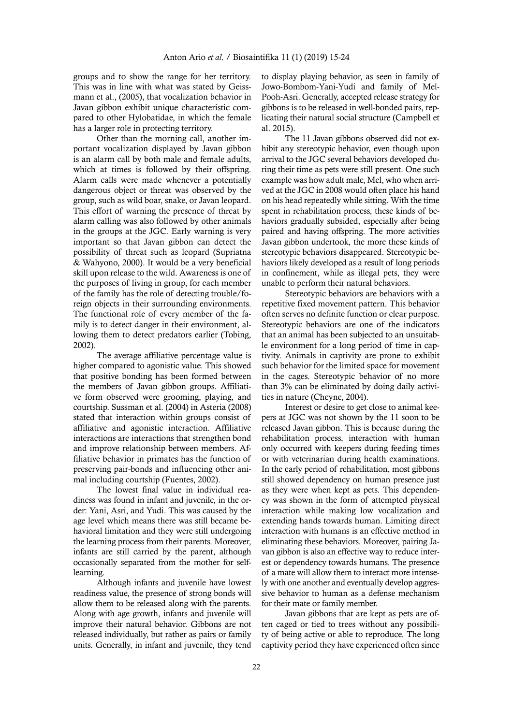groups and to show the range for her territory. This was in line with what was stated by Geissmann et al., (2005), that vocalization behavior in Javan gibbon exhibit unique characteristic compared to other Hylobatidae, in which the female has a larger role in protecting territory.

Other than the morning call, another important vocalization displayed by Javan gibbon is an alarm call by both male and female adults, which at times is followed by their offspring. Alarm calls were made whenever a potentially dangerous object or threat was observed by the group, such as wild boar, snake, or Javan leopard. This effort of warning the presence of threat by alarm calling was also followed by other animals in the groups at the JGC. Early warning is very important so that Javan gibbon can detect the possibility of threat such as leopard (Supriatna & Wahyono, 2000). It would be a very beneficial skill upon release to the wild. Awareness is one of the purposes of living in group, for each member of the family has the role of detecting trouble/foreign objects in their surrounding environments. The functional role of every member of the family is to detect danger in their environment, allowing them to detect predators earlier (Tobing, 2002).

The average affiliative percentage value is higher compared to agonistic value. This showed that positive bonding has been formed between the members of Javan gibbon groups. Affiliative form observed were grooming, playing, and courtship. Sussman et al. (2004) in Asteria (2008) stated that interaction within groups consist of affiliative and agonistic interaction. Affiliative interactions are interactions that strengthen bond and improve relationship between members. Affiliative behavior in primates has the function of preserving pair-bonds and influencing other animal including courtship (Fuentes, 2002).

The lowest final value in individual readiness was found in infant and juvenile, in the order: Yani, Asri, and Yudi. This was caused by the age level which means there was still became behavioral limitation and they were still undergoing the learning process from their parents. Moreover, infants are still carried by the parent, although occasionally separated from the mother for selflearning.

Although infants and juvenile have lowest readiness value, the presence of strong bonds will allow them to be released along with the parents. Along with age growth, infants and juvenile will improve their natural behavior. Gibbons are not released individually, but rather as pairs or family units. Generally, in infant and juvenile, they tend

to display playing behavior, as seen in family of Jowo-Bombom-Yani-Yudi and family of Mel-Pooh-Asri. Generally, accepted release strategy for gibbons is to be released in well-bonded pairs, replicating their natural social structure (Campbell et al. 2015).

The 11 Javan gibbons observed did not exhibit any stereotypic behavior, even though upon arrival to the JGC several behaviors developed during their time as pets were still present. One such example was how adult male, Mel, who when arrived at the JGC in 2008 would often place his hand on his head repeatedly while sitting. With the time spent in rehabilitation process, these kinds of behaviors gradually subsided, especially after being paired and having offspring. The more activities Javan gibbon undertook, the more these kinds of stereotypic behaviors disappeared. Stereotypic behaviors likely developed as a result of long periods in confinement, while as illegal pets, they were unable to perform their natural behaviors.

Stereotypic behaviors are behaviors with a repetitive fixed movement pattern. This behavior often serves no definite function or clear purpose. Stereotypic behaviors are one of the indicators that an animal has been subjected to an unsuitable environment for a long period of time in captivity. Animals in captivity are prone to exhibit such behavior for the limited space for movement in the cages. Stereotypic behavior of no more than 3% can be eliminated by doing daily activities in nature (Cheyne, 2004).

Interest or desire to get close to animal keepers at JGC was not shown by the 11 soon to be released Javan gibbon. This is because during the rehabilitation process, interaction with human only occurred with keepers during feeding times or with veterinarian during health examinations. In the early period of rehabilitation, most gibbons still showed dependency on human presence just as they were when kept as pets. This dependency was shown in the form of attempted physical interaction while making low vocalization and extending hands towards human. Limiting direct interaction with humans is an effective method in eliminating these behaviors. Moreover, pairing Javan gibbon is also an effective way to reduce interest or dependency towards humans. The presence of a mate will allow them to interact more intensely with one another and eventually develop aggressive behavior to human as a defense mechanism for their mate or family member.

Javan gibbons that are kept as pets are often caged or tied to trees without any possibility of being active or able to reproduce. The long captivity period they have experienced often since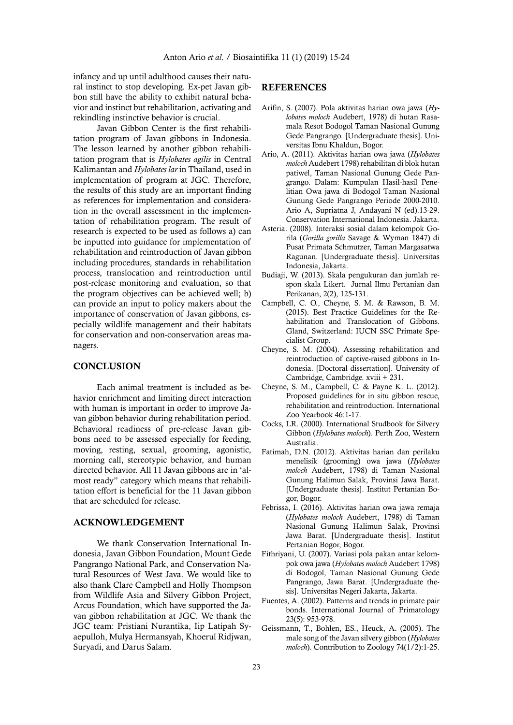infancy and up until adulthood causes their natural instinct to stop developing. Ex-pet Javan gibbon still have the ability to exhibit natural behavior and instinct but rehabilitation, activating and rekindling instinctive behavior is crucial.

Javan Gibbon Center is the first rehabilitation program of Javan gibbons in Indonesia. The lesson learned by another gibbon rehabilitation program that is *Hylobates agilis* in Central Kalimantan and *Hylobates lar* in Thailand, used in implementation of program at JGC. Therefore, the results of this study are an important finding as references for implementation and consideration in the overall assessment in the implementation of rehabilitation program. The result of research is expected to be used as follows a) can be inputted into guidance for implementation of rehabilitation and reintroduction of Javan gibbon including procedures, standards in rehabilitation process, translocation and reintroduction until post-release monitoring and evaluation, so that the program objectives can be achieved well; b) can provide an input to policy makers about the importance of conservation of Javan gibbons, especially wildlife management and their habitats for conservation and non-conservation areas managers.

## **CONCLUSION**

Each animal treatment is included as behavior enrichment and limiting direct interaction with human is important in order to improve Javan gibbon behavior during rehabilitation period. Behavioral readiness of pre-release Javan gibbons need to be assessed especially for feeding, moving, resting, sexual, grooming, agonistic, morning call, stereotypic behavior, and human directed behavior. All 11 Javan gibbons are in 'almost ready" category which means that rehabilitation effort is beneficial for the 11 Javan gibbon that are scheduled for release.

# ACKNOWLEDGEMENT

We thank Conservation International Indonesia, Javan Gibbon Foundation, Mount Gede Pangrango National Park, and Conservation Natural Resources of West Java. We would like to also thank Clare Campbell and Holly Thompson from Wildlife Asia and Silvery Gibbon Project, Arcus Foundation, which have supported the Javan gibbon rehabilitation at JGC. We thank the JGC team: Pristiani Nurantika, Iip Latipah Syaepulloh, Mulya Hermansyah, Khoerul Ridjwan, Suryadi, and Darus Salam.

### REFERENCES

- Arifin, S. (2007). Pola aktivitas harian owa jawa (*Hylobates moloch* Audebert, 1978) di hutan Rasamala Resot Bodogol Taman Nasional Gunung Gede Pangrango. [Undergraduate thesis]. Universitas Ibnu Khaldun, Bogor.
- Ario, A. (2011). Aktivitas harian owa jawa (*Hylobates moloch* Audebert 1798) rehabilitan di blok hutan patiwel, Taman Nasional Gunung Gede Pangrango. Dalam: Kumpulan Hasil-hasil Penelitian Owa jawa di Bodogol Taman Nasional Gunung Gede Pangrango Periode 2000-2010. Ario A, Supriatna J, Andayani N (ed).13-29. Conservation International Indonesia. Jakarta.
- Asteria. (2008). Interaksi sosial dalam kelompok Gorila (*Gorilla gorilla* Savage & Wyman 1847) di Pusat Primata Schmutzer, Taman Margasatwa Ragunan. [Undergraduate thesis]. Universitas Indonesia, Jakarta.
- Budiaji, W. (2013). Skala pengukuran dan jumlah respon skala Likert. Jurnal Ilmu Pertanian dan Perikanan, 2(2), 125-131.
- Campbell, C. O., Cheyne, S. M. & Rawson, B. M. (2015). Best Practice Guidelines for the Rehabilitation and Translocation of Gibbons. Gland, Switzerland: IUCN SSC Primate Specialist Group.
- Cheyne, S. M. (2004). Assessing rehabilitation and reintroduction of captive-raised gibbons in Indonesia. [Doctoral dissertation]. University of Cambridge, Cambridge. xviii + 231.
- Cheyne, S. M., Campbell, C. & Payne K. L. (2012). Proposed guidelines for in situ gibbon rescue, rehabilitation and reintroduction. International Zoo Yearbook 46:1-17.
- Cocks, LR. (2000). International Studbook for Silvery Gibbon (*Hylobates moloch*). Perth Zoo, Western Australia.
- Fatimah, D.N. (2012). Aktivitas harian dan perilaku menelisik (grooming) owa jawa (*Hylobates moloch* Audebert, 1798) di Taman Nasional Gunung Halimun Salak, Provinsi Jawa Barat. [Undergraduate thesis]. Institut Pertanian Bogor, Bogor.
- Febrissa, I. (2016). Aktivitas harian owa jawa remaja (*Hylobates moloch* Audebert, 1798) di Taman Nasional Gunung Halimun Salak, Provinsi Jawa Barat. [Undergraduate thesis]. Institut Pertanian Bogor, Bogor.
- Fithriyani, U. (2007). Variasi pola pakan antar kelompok owa jawa (*Hylobates moloch* Audebert 1798) di Bodogol, Taman Nasional Gunung Gede Pangrango, Jawa Barat. [Undergraduate thesis]. Universitas Negeri Jakarta, Jakarta.
- Fuentes, A. (2002). Patterns and trends in primate pair bonds. International Journal of Primatology 23(5): 953-978.
- Geissmann, T., Bohlen, ES., Heuck, A. (2005). The male song of the Javan silvery gibbon (*Hylobates moloch*). Contribution to Zoology 74(1/2):1-25.